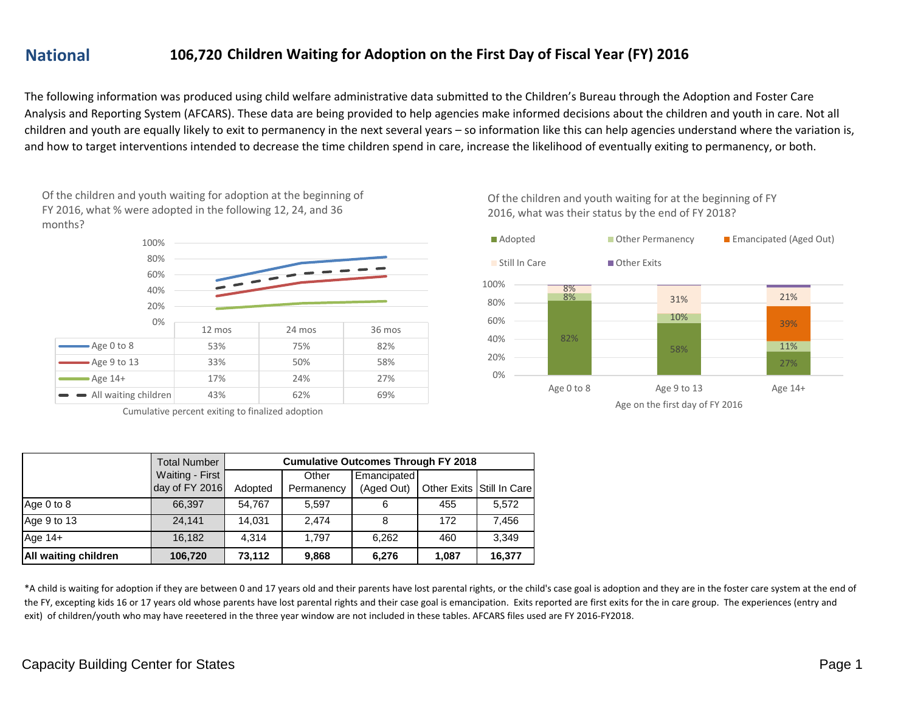# **National 106,720**

### **Children Waiting for Adoption on the First Day of Fiscal Year (FY) 2016**

The following information was produced using child welfare administrative data submitted to the Children's Bureau through the Adoption and Foster Care Analysis and Reporting System (AFCARS). These data are being provided to help agencies make informed decisions about the children and youth in care. Not all children and youth are equally likely to exit to permanency in the next several years – so information like this can help agencies understand where the variation is, and how to target interventions intended to decrease the time children spend in care, increase the likelihood of eventually exiting to permanency, or both.

Of the children and youth waiting for adoption at the beginning of FY 2016, what % were adopted in the following 12, 24, and 36 months?



Cumulative percent exiting to finalized adoption

|                      | <b>Total Number</b>               | <b>Cumulative Outcomes Through FY 2018</b> |                     |                           |       |                           |  |
|----------------------|-----------------------------------|--------------------------------------------|---------------------|---------------------------|-------|---------------------------|--|
|                      | Waiting - First<br>day of FY 2016 | Adopted                                    | Other<br>Permanency | Emancipated<br>(Aged Out) |       | Other Exits Still In Care |  |
| Age 0 to 8           | 66,397                            | 54,767                                     | 5,597               | 6                         | 455   | 5,572                     |  |
| Age 9 to 13          | 24.141                            | 14.031                                     | 2.474               | 8                         | 172   | 7,456                     |  |
| Age 14+              | 16,182                            | 4.314                                      | 1.797               | 6,262                     | 460   | 3.349                     |  |
| All waiting children | 106,720                           | 73,112                                     | 9,868               | 6,276                     | 1,087 | 16,377                    |  |

\*A child is waiting for adoption if they are between 0 and 17 years old and their parents have lost parental rights, or the child's case goal is adoption and they are in the foster care system at the end of the FY, excepting kids 16 or 17 years old whose parents have lost parental rights and their case goal is emancipation. Exits reported are first exits for the in care group. The experiences (entry and exit) of children/youth who may have reeetered in the three year window are not included in these tables. AFCARS files used are FY 2016-FY2018.

Of the children and youth waiting for at the beginning of FY 2016, what was their status by the end of FY 2018?

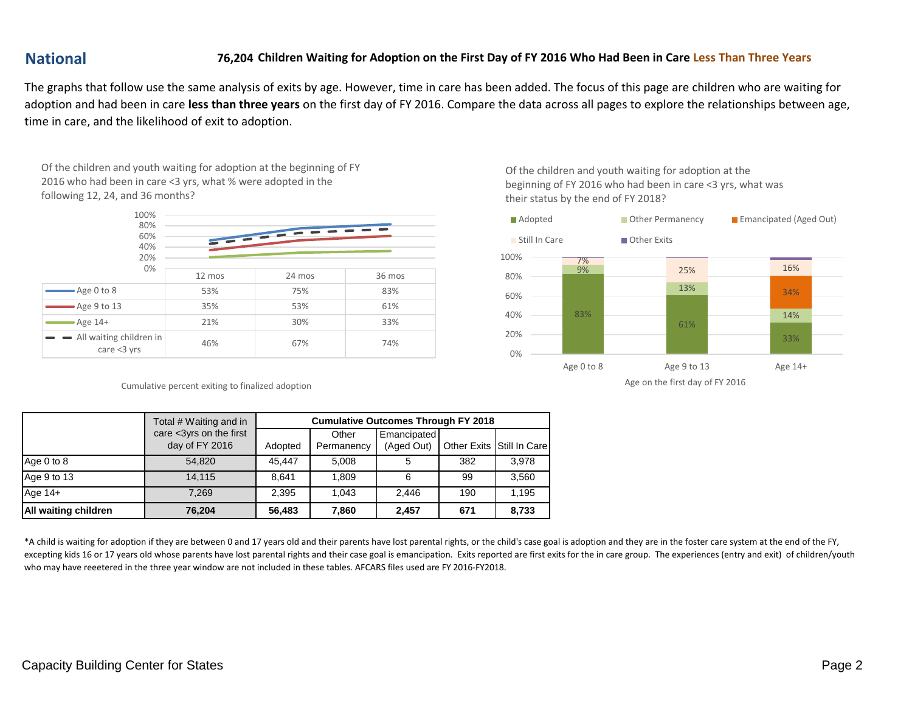# **National 76,204**

#### **Children Waiting for Adoption on the First Day of FY 2016 Who Had Been in Care Less Than Three Years**

The graphs that follow use the same analysis of exits by age. However, time in care has been added. The focus of this page are children who are waiting for adoption and had been in care **less than three years** on the first day of FY 2016. Compare the data across all pages to explore the relationships between age, time in care, and the likelihood of exit to adoption.

Of the children and youth waiting for adoption at the beginning of FY 2016 who had been in care <3 yrs, what % were adopted in the following 12, 24, and 36 months?



Cumulative percent exiting to finalized adoption

Of the children and youth waiting for adoption at the beginning of FY 2016 who had been in care <3 yrs, what was their status by the end of FY 2018?



Age on the first day of FY 2016

|                             | Total # Waiting and in                    | <b>Cumulative Outcomes Through FY 2018</b> |                     |                           |     |                           |  |
|-----------------------------|-------------------------------------------|--------------------------------------------|---------------------|---------------------------|-----|---------------------------|--|
|                             | care <3yrs on the first<br>day of FY 2016 | Adopted                                    | Other<br>Permanency | Emancipated<br>(Aged Out) |     | Other Exits Still In Care |  |
| Age 0 to 8                  | 54.820                                    | 45.447                                     | 5.008               | 5                         | 382 | 3.978                     |  |
| Age 9 to 13                 | 14.115                                    | 8.641                                      | 1.809               | -6                        | 99  | 3,560                     |  |
| Age $14+$                   | 7.269                                     | 2.395                                      | 1.043               | 2.446                     | 190 | 1.195                     |  |
| <b>All waiting children</b> | 76,204                                    | 56,483                                     | 7,860               | 2,457                     | 671 | 8,733                     |  |

\*A child is waiting for adoption if they are between 0 and 17 years old and their parents have lost parental rights, or the child's case goal is adoption and they are in the foster care system at the end of the FY, excepting kids 16 or 17 years old whose parents have lost parental rights and their case goal is emancipation. Exits reported are first exits for the in care group. The experiences (entry and exit) of children/youth who may have reeetered in the three year window are not included in these tables. AFCARS files used are FY 2016-FY2018.